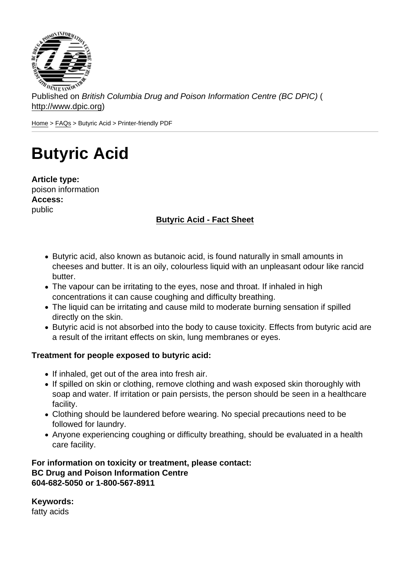Published on British Columbia Drug and Poison Information Centre (BC DPIC) ( http://www.dpic.org)

Home > FAQs > Butyric Acid > Printer-friendly PDF

## [Bu](http://www.dpic.org/)[tyri](http://www.dpic.org/faq)c Acid

Article type: poison information Access: public

Butyric Acid - Fact Sheet

- Butyric acid, also known as butanoic acid, is found naturally in small amounts in cheeses and butter. It is an oily, colourless liquid with an unpleasant odour like rancid butter.
- The vapour can be irritating to the eyes, nose and throat. If inhaled in high concentrations it can cause coughing and difficulty breathing.
- The liquid can be irritating and cause mild to moderate burning sensation if spilled directly on the skin.
- Butyric acid is not absorbed into the body to cause toxicity. Effects from butyric acid are a result of the irritant effects on skin, lung membranes or eyes.

Treatment for people exposed to butyric acid:

- If inhaled, get out of the area into fresh air.
- If spilled on skin or clothing, remove clothing and wash exposed skin thoroughly with soap and water. If irritation or pain persists, the person should be seen in a healthcare facility.
- Clothing should be laundered before wearing. No special precautions need to be followed for laundry.
- Anyone experiencing coughing or difficulty breathing, should be evaluated in a health care facility.

For information on toxicity or treatment, please contact: BC Drug and Poison Information Centre 604-682-5050 or 1-800-567-8911

Keywords: fatty acids